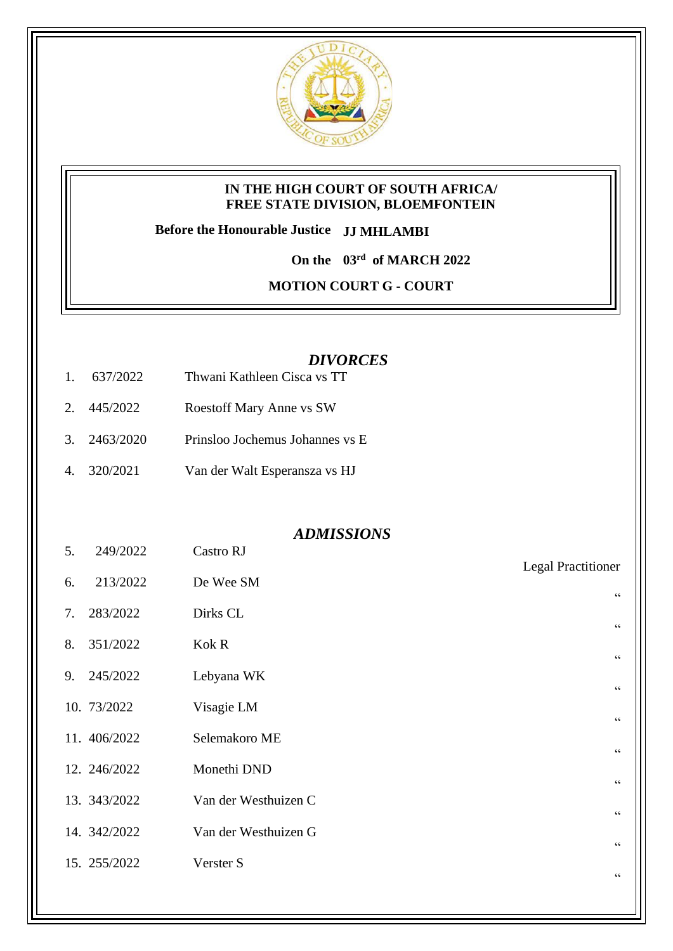

### **IN THE HIGH COURT OF SOUTH AFRICA/ FREE STATE DIVISION, BLOEMFONTEIN**

**Before the Honourable Justice JJ MHLAMBI**

**On the 03rd of MARCH 2022**

**MOTION COURT G - COURT** 

# *DIVORCES*

- 1. 637/2022 Thwani Kathleen Cisca vs TT
- 2. 445/2022 Roestoff Mary Anne vs SW
- 3. 2463/2020 Prinsloo Jochemus Johannes vs E
- 4. 320/2021 Van der Walt Esperansza vs HJ

## *ADMISSIONS*

| 5. | 249/2022     | Castro RJ            |                           |
|----|--------------|----------------------|---------------------------|
| 6. | 213/2022     | De Wee SM            | <b>Legal Practitioner</b> |
|    |              |                      | $\textsf{G}\,\textsf{G}$  |
| 7. | 283/2022     | Dirks CL             | $\,$ G $\,$               |
| 8. | 351/2022     | Kok R                | $\zeta\,\zeta$            |
| 9. | 245/2022     | Lebyana WK           |                           |
|    |              |                      | $\,$ G $\,$               |
|    | 10. 73/2022  | Visagie LM           | $\zeta\,\zeta$            |
|    | 11. 406/2022 | Selemakoro ME        | $\zeta\,\zeta$            |
|    | 12. 246/2022 | Monethi DND          |                           |
|    | 13. 343/2022 | Van der Westhuizen C | $\zeta\,\zeta$            |
|    |              |                      | $\textsf{G}\,\textsf{G}$  |
|    | 14. 342/2022 | Van der Westhuizen G | $\,$ G $\,$               |
|    | 15. 255/2022 | Verster S            |                           |
|    |              |                      | $\zeta\,\zeta$            |
|    |              |                      |                           |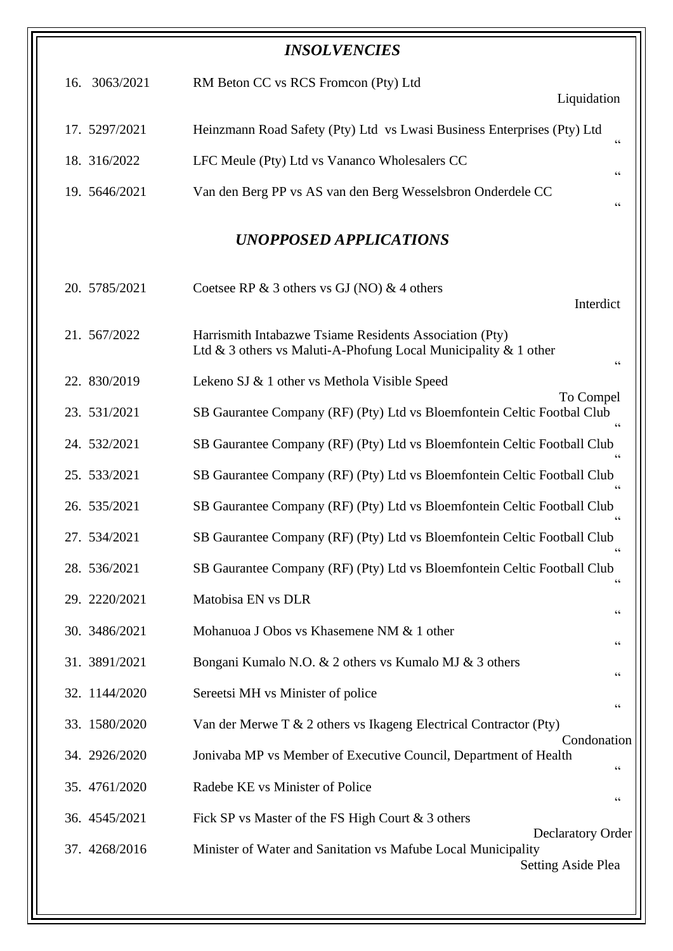| <b>INSOLVENCIES</b>    |                                                                                                                                  |  |  |  |
|------------------------|----------------------------------------------------------------------------------------------------------------------------------|--|--|--|
| 16. 3063/2021          | RM Beton CC vs RCS Fromcon (Pty) Ltd<br>Liquidation                                                                              |  |  |  |
| 17. 5297/2021          | Heinzmann Road Safety (Pty) Ltd vs Lwasi Business Enterprises (Pty) Ltd<br>$\,$ 6 6 $\,$                                         |  |  |  |
| 18. 316/2022           | LFC Meule (Pty) Ltd vs Vananco Wholesalers CC<br>66                                                                              |  |  |  |
| 19. 5646/2021          | Van den Berg PP vs AS van den Berg Wesselsbron Onderdele CC<br>$\mbox{\bf G}$                                                    |  |  |  |
| UNOPPOSED APPLICATIONS |                                                                                                                                  |  |  |  |
| 20. 5785/2021          | Coetsee RP $\&$ 3 others vs GJ (NO) $\&$ 4 others<br>Interdict                                                                   |  |  |  |
| 21. 567/2022           | Harrismith Intabazwe Tsiame Residents Association (Pty)<br>Ltd & 3 others vs Maluti-A-Phofung Local Municipality & 1 other<br>66 |  |  |  |
| 22. 830/2019           | Lekeno SJ & 1 other vs Methola Visible Speed                                                                                     |  |  |  |
| 23. 531/2021           | To Compel<br>SB Gaurantee Company (RF) (Pty) Ltd vs Bloemfontein Celtic Footbal Club<br>$\zeta$ $\zeta$                          |  |  |  |
| 24. 532/2021           | SB Gaurantee Company (RF) (Pty) Ltd vs Bloemfontein Celtic Football Club                                                         |  |  |  |
| 25. 533/2021           | SB Gaurantee Company (RF) (Pty) Ltd vs Bloemfontein Celtic Football Club                                                         |  |  |  |
| 26. 535/2021           | SB Gaurantee Company (RF) (Pty) Ltd vs Bloemfontein Celtic Football Club                                                         |  |  |  |
| 27.534/2021            | SB Gaurantee Company (RF) (Pty) Ltd vs Bloemfontein Celtic Football Club<br>66                                                   |  |  |  |
| 28. 536/2021           | SB Gaurantee Company (RF) (Pty) Ltd vs Bloemfontein Celtic Football Club<br>$\mbox{\bf G}$                                       |  |  |  |
| 29. 2220/2021          | Matobisa EN vs DLR<br>$\mbox{\bf G}$                                                                                             |  |  |  |
| 30. 3486/2021          | Mohanuoa J Obos vs Khasemene NM & 1 other<br>$\,$ 6 6 $\,$                                                                       |  |  |  |
| 31. 3891/2021          | Bongani Kumalo N.O. & 2 others vs Kumalo MJ & 3 others<br>$\mbox{\bf G}$                                                         |  |  |  |
| 32. 1144/2020          | Sereetsi MH vs Minister of police<br>$\,$ G G                                                                                    |  |  |  |
| 33. 1580/2020          | Van der Merwe T $\&$ 2 others vs Ikageng Electrical Contractor (Pty)                                                             |  |  |  |
| 34. 2926/2020          | Condonation<br>Jonivaba MP vs Member of Executive Council, Department of Health<br>$\mbox{\bf G}$                                |  |  |  |
| 35. 4761/2020          | Radebe KE vs Minister of Police<br>$\textsf{G}\,\textsf{G}$                                                                      |  |  |  |
| 36. 4545/2021          | Fick SP vs Master of the FS High Court & 3 others                                                                                |  |  |  |
| 37. 4268/2016          | <b>Declaratory Order</b><br>Minister of Water and Sanitation vs Mafube Local Municipality<br><b>Setting Aside Plea</b>           |  |  |  |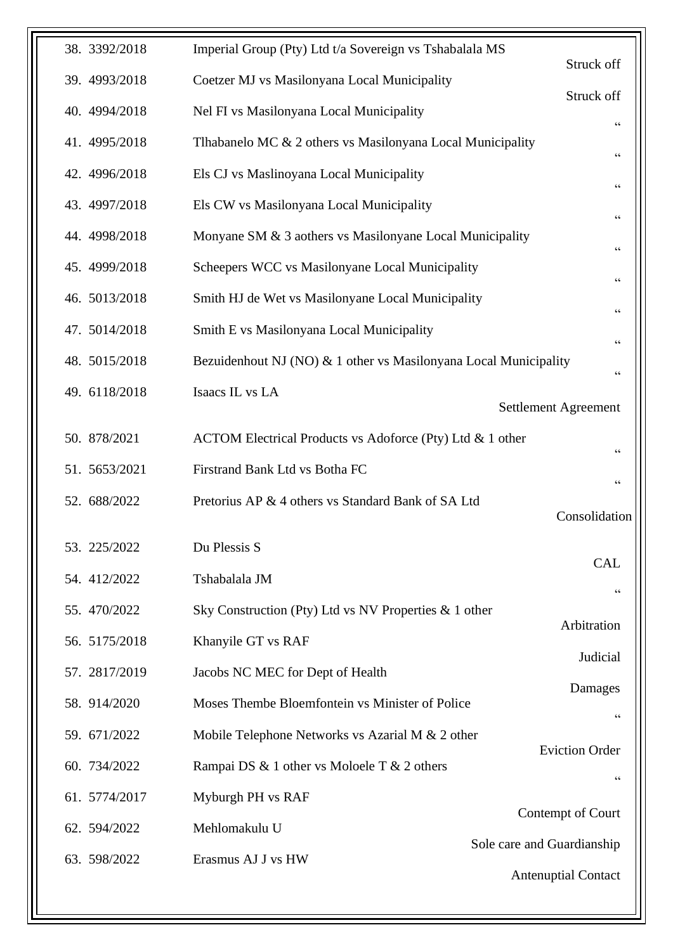| 38. 3392/2018 | Imperial Group (Pty) Ltd t/a Sovereign vs Tshabalala MS          | Struck off                              |
|---------------|------------------------------------------------------------------|-----------------------------------------|
| 39. 4993/2018 | Coetzer MJ vs Masilonyana Local Municipality                     | Struck off                              |
| 40. 4994/2018 | Nel FI vs Masilonyana Local Municipality                         | $\mbox{\bf G}$                          |
| 41. 4995/2018 | Thabanelo MC & 2 others vs Masilonyana Local Municipality        | $\,$ G G                                |
| 42. 4996/2018 | Els CJ vs Maslinoyana Local Municipality                         | $\mbox{\bf G}$                          |
| 43. 4997/2018 | Els CW vs Masilonyana Local Municipality                         | $\mbox{\bf G}$                          |
| 44. 4998/2018 | Monyane SM & 3 aothers vs Masilonyane Local Municipality         | $\textsf{G}\,\textsf{G}$                |
| 45. 4999/2018 | Scheepers WCC vs Masilonyane Local Municipality                  | $\textsf{G}\,\textsf{G}$                |
| 46. 5013/2018 | Smith HJ de Wet vs Masilonyane Local Municipality                | $\mbox{\bf G}$                          |
| 47. 5014/2018 | Smith E vs Masilonyana Local Municipality                        | $\mbox{\bf G}$                          |
| 48. 5015/2018 | Bezuidenhout NJ (NO) & 1 other vs Masilonyana Local Municipality | $\,$ 6 $\,$                             |
| 49. 6118/2018 | Isaacs IL vs LA                                                  |                                         |
|               |                                                                  | Settlement Agreement                    |
| 50. 878/2021  | ACTOM Electrical Products vs Adoforce (Pty) Ltd & 1 other        | $\mbox{\bf G}$                          |
| 51. 5653/2021 | Firstrand Bank Ltd vs Botha FC                                   | $\textsf{G}\,\textsf{G}$                |
| 52. 688/2022  | Pretorius AP & 4 others vs Standard Bank of SA Ltd               | Consolidation                           |
|               |                                                                  |                                         |
| 53. 225/2022  | Du Plessis S                                                     | <b>CAL</b>                              |
| 54. 412/2022  | Tshabalala JM                                                    | $\mbox{\bf G}$                          |
| 55. 470/2022  | Sky Construction (Pty) Ltd vs NV Properties $\&$ 1 other         | Arbitration                             |
| 56. 5175/2018 | Khanyile GT vs RAF                                               | Judicial                                |
| 57. 2817/2019 | Jacobs NC MEC for Dept of Health                                 |                                         |
| 58. 914/2020  | Moses Thembe Bloemfontein vs Minister of Police                  | Damages<br>$\textsf{G}\,\textsf{G}$     |
| 59. 671/2022  | Mobile Telephone Networks vs Azarial M $& 2$ other               |                                         |
| 60. 734/2022  | Rampai DS & 1 other vs Moloele T & 2 others                      | <b>Eviction Order</b><br>$\zeta\,\zeta$ |
| 61. 5774/2017 | Myburgh PH vs RAF                                                |                                         |
| 62. 594/2022  | Mehlomakulu U                                                    | Contempt of Court                       |
| 63. 598/2022  | Erasmus AJ J vs HW                                               | Sole care and Guardianship              |
|               |                                                                  | <b>Antenuptial Contact</b>              |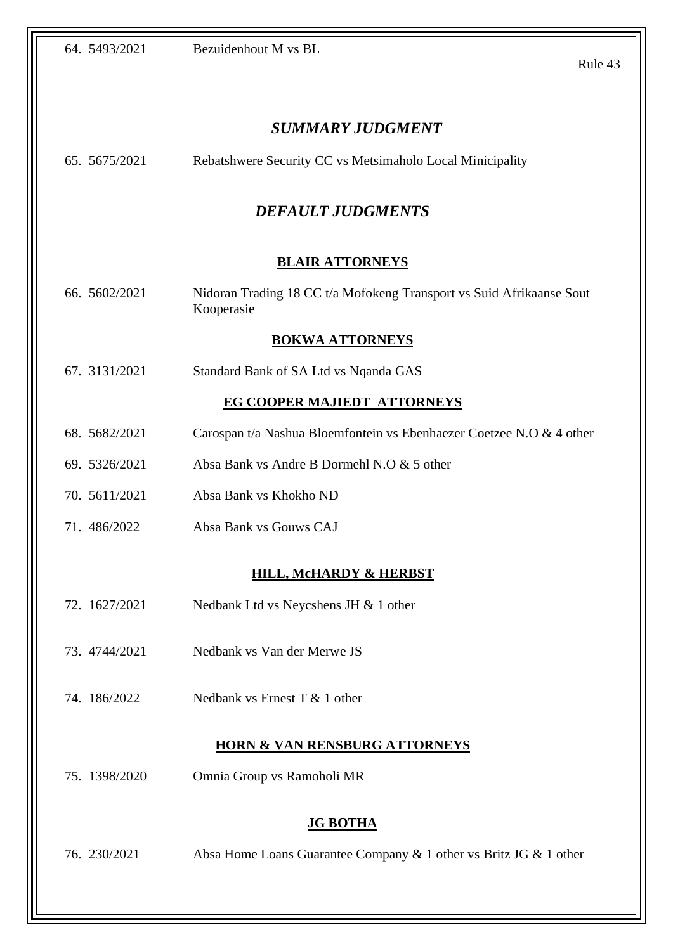|                                    |  | 64. 5493/2021 | Bezuidenhout M vs BL                                                               | Rule 43 |  |
|------------------------------------|--|---------------|------------------------------------------------------------------------------------|---------|--|
|                                    |  |               | <b>SUMMARY JUDGMENT</b>                                                            |         |  |
|                                    |  | 65. 5675/2021 | Rebatshwere Security CC vs Metsimaholo Local Minicipality                          |         |  |
|                                    |  |               | <b>DEFAULT JUDGMENTS</b>                                                           |         |  |
| <b>BLAIR ATTORNEYS</b>             |  |               |                                                                                    |         |  |
|                                    |  | 66. 5602/2021 | Nidoran Trading 18 CC t/a Mofokeng Transport vs Suid Afrikaanse Sout<br>Kooperasie |         |  |
|                                    |  |               | <b>BOKWA ATTORNEYS</b>                                                             |         |  |
|                                    |  | 67. 3131/2021 | Standard Bank of SA Ltd vs Nqanda GAS                                              |         |  |
| <b>EG COOPER MAJIEDT ATTORNEYS</b> |  |               |                                                                                    |         |  |
|                                    |  | 68. 5682/2021 | Carospan t/a Nashua Bloemfontein vs Ebenhaezer Coetzee N.O & 4 other               |         |  |
|                                    |  | 69. 5326/2021 | Absa Bank vs Andre B Dormehl N.O & 5 other                                         |         |  |
|                                    |  | 70. 5611/2021 | Absa Bank vs Khokho ND                                                             |         |  |
|                                    |  | 71.486/2022   | Absa Bank vs Gouws CAJ                                                             |         |  |
|                                    |  |               | <b>HILL, McHARDY &amp; HERBST</b>                                                  |         |  |
|                                    |  | 72. 1627/2021 | Nedbank Ltd vs Neycshens JH & 1 other                                              |         |  |
|                                    |  | 73. 4744/2021 | Nedbank vs Van der Merwe JS                                                        |         |  |
|                                    |  | 74. 186/2022  | Nedbank vs Ernest $T < 1$ other                                                    |         |  |
|                                    |  |               | <b>HORN &amp; VAN RENSBURG ATTORNEYS</b>                                           |         |  |
|                                    |  | 75. 1398/2020 | Omnia Group vs Ramoholi MR                                                         |         |  |
|                                    |  |               | <b>JG BOTHA</b>                                                                    |         |  |
|                                    |  | 76. 230/2021  | Absa Home Loans Guarantee Company & 1 other vs Britz JG & 1 other                  |         |  |
|                                    |  |               |                                                                                    |         |  |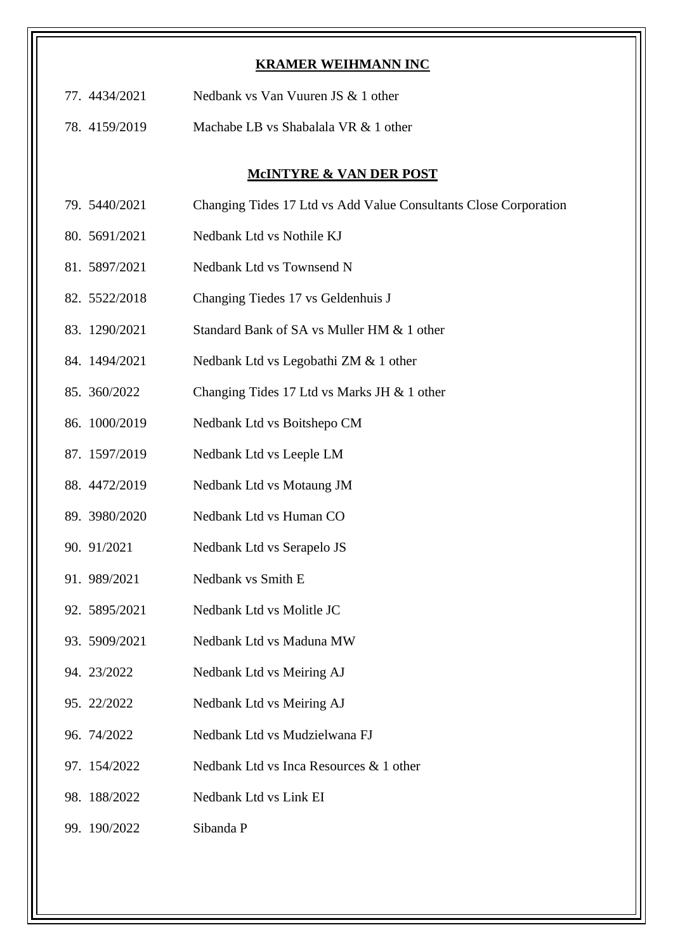#### **KRAMER WEIHMANN INC**

- 77. 4434/2021 Nedbank vs Van Vuuren JS & 1 other
- 78. 4159/2019 Machabe LB vs Shabalala VR & 1 other

#### **McINTYRE & VAN DER POST**

- 79. 5440/2021 Changing Tides 17 Ltd vs Add Value Consultants Close Corporation
- 80. 5691/2021 Nedbank Ltd vs Nothile KJ
- 81. 5897/2021 Nedbank Ltd vs Townsend N
- 82. 5522/2018 Changing Tiedes 17 vs Geldenhuis J
- 83. 1290/2021 Standard Bank of SA vs Muller HM & 1 other
- 84. 1494/2021 Nedbank Ltd vs Legobathi ZM & 1 other
- 85. 360/2022 Changing Tides 17 Ltd vs Marks JH & 1 other
- 86. 1000/2019 Nedbank Ltd vs Boitshepo CM
- 87. 1597/2019 Nedbank Ltd vs Leeple LM
- 88. 4472/2019 Nedbank Ltd vs Motaung JM
- 89. 3980/2020 Nedbank Ltd vs Human CO
- 90. 91/2021 Nedbank Ltd vs Serapelo JS
- 91. 989/2021 Nedbank vs Smith E
- 92. 5895/2021 Nedbank Ltd vs Molitle JC
- 93. 5909/2021 Nedbank Ltd vs Maduna MW
- 94. 23/2022 Nedbank Ltd vs Meiring AJ
- 95. 22/2022 Nedbank Ltd vs Meiring AJ
- 96. 74/2022 Nedbank Ltd vs Mudzielwana FJ
- 97. 154/2022 Nedbank Ltd vs Inca Resources & 1 other
- 98. 188/2022 Nedbank Ltd vs Link EI
- 99. 190/2022 Sibanda P